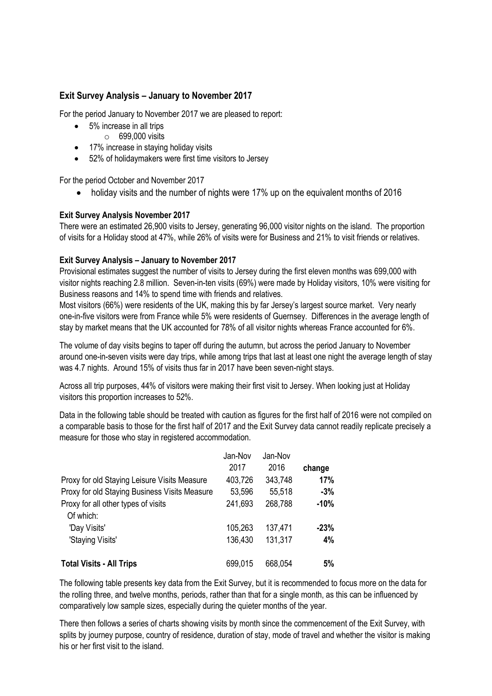## **Exit Survey Analysis – January to November 2017**

For the period January to November 2017 we are pleased to report:

- 5% increase in all trips
	- $\circ$  699,000 visits
- 17% increase in staying holiday visits
- 52% of holidaymakers were first time visitors to Jersey

For the period October and November 2017

• holiday visits and the number of nights were 17% up on the equivalent months of 2016

## **Exit Survey Analysis November 2017**

There were an estimated 26,900 visits to Jersey, generating 96,000 visitor nights on the island. The proportion of visits for a Holiday stood at 47%, while 26% of visits were for Business and 21% to visit friends or relatives.

## **Exit Survey Analysis – January to November 2017**

Provisional estimates suggest the number of visits to Jersey during the first eleven months was 699,000 with visitor nights reaching 2.8 million. Seven-in-ten visits (69%) were made by Holiday visitors, 10% were visiting for Business reasons and 14% to spend time with friends and relatives.

Most visitors (66%) were residents of the UK, making this by far Jersey's largest source market. Very nearly one-in-five visitors were from France while 5% were residents of Guernsey. Differences in the average length of stay by market means that the UK accounted for 78% of all visitor nights whereas France accounted for 6%.

The volume of day visits begins to taper off during the autumn, but across the period January to November around one-in-seven visits were day trips, while among trips that last at least one night the average length of stay was 4.7 nights. Around 15% of visits thus far in 2017 have been seven-night stays.

Across all trip purposes, 44% of visitors were making their first visit to Jersey. When looking just at Holiday visitors this proportion increases to 52%.

Data in the following table should be treated with caution as figures for the first half of 2016 were not compiled on a comparable basis to those for the first half of 2017 and the Exit Survey data cannot readily replicate precisely a measure for those who stay in registered accommodation.

|                                               | Jan-Nov | Jan-Nov |        |
|-----------------------------------------------|---------|---------|--------|
|                                               | 2017    | 2016    | change |
| Proxy for old Staying Leisure Visits Measure  | 403,726 | 343,748 | 17%    |
| Proxy for old Staying Business Visits Measure | 53,596  | 55,518  | $-3%$  |
| Proxy for all other types of visits           | 241,693 | 268,788 | $-10%$ |
| Of which:                                     |         |         |        |
| 'Day Visits'                                  | 105,263 | 137,471 | $-23%$ |
| 'Staying Visits'                              | 136,430 | 131,317 | 4%     |
|                                               |         |         |        |
| <b>Total Visits - All Trips</b>               | 699,015 | 668,054 | 5%     |

The following table presents key data from the Exit Survey, but it is recommended to focus more on the data for the rolling three, and twelve months, periods, rather than that for a single month, as this can be influenced by comparatively low sample sizes, especially during the quieter months of the year.

There then follows a series of charts showing visits by month since the commencement of the Exit Survey, with splits by journey purpose, country of residence, duration of stay, mode of travel and whether the visitor is making his or her first visit to the island.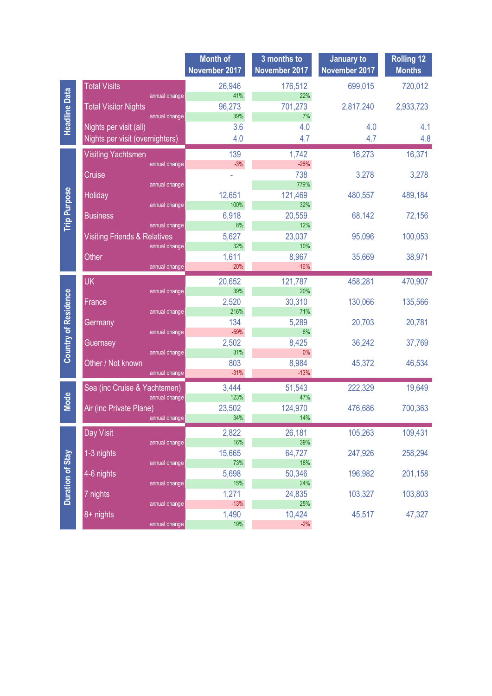| <b>Total Visits</b><br>26,946<br>699,015<br>720,012<br>176,512<br><b>Headline Data</b><br>41%<br>22%<br>annual change<br>701,273<br>96,273<br><b>Total Visitor Nights</b><br>2,817,240<br>2,933,723<br>39%<br>7%<br>annual change<br>Nights per visit (all)<br>3.6<br>4.0<br>4.0<br>4.1<br>4.7<br>Nights per visit (overnighters)<br>4.8<br>4.0<br>4.7<br>16,371<br>139<br>16,273<br><b>Visiting Yachtsmen</b><br>1,742<br>$-26%$<br>$-3%$<br>annual change<br>738<br>Cruise<br>3,278<br>3,278<br>779%<br>annual change<br><b>Trip Purpose</b><br>12,651<br>121,469<br>Holiday<br>480,557<br>489,184<br>100%<br>32%<br>annual change<br>20,559<br><b>Business</b><br>6,918<br>68,142<br>72,156<br>8%<br>12%<br>annual change<br><b>Visiting Friends &amp; Relatives</b><br>23,037<br>95,096<br>100,053<br>5,627<br>10%<br>annual change<br>32%<br>Other<br>1,611<br>8,967<br>35,669<br>38,971<br>$-20%$<br>$-16%$<br>annual change<br><b>UK</b><br>470,907<br>20,652<br>121,787<br>458,281<br>39%<br>20%<br>annual change<br><b>Country of Residence</b><br>2,520<br>30,310<br>130,066<br>135,566<br>France<br>216%<br>71%<br>annual change<br>134<br>20,703<br>20,781<br>5,289<br>Germany<br>$-59%$<br>6%<br>annual change<br>2,502<br>8,425<br>36,242<br>37,769<br>Guernsey<br>31%<br>$0\%$<br>annual change<br>Other / Not known<br>803<br>8,984<br>45,372<br>46,534<br>$-31%$<br>$-13%$<br>annual change<br>19,649<br>3,444<br>222,329<br>Sea (inc Cruise & Yachtsmen)<br>51,543<br><b>Mode</b><br>123%<br>47%<br>annual change<br>Air (inc Private Plane)<br>23,502<br>124,970<br>476,686<br>700,363<br>34%<br>14%<br>annual change<br>Day Visit<br>2,822<br>105,263<br>109,431<br>26,181<br>16%<br>39%<br>annual change<br>15,665<br>247,926<br>258,294<br>64,727<br><b>Duration of Stay</b><br>1-3 nights<br>73%<br>annual change<br>18%<br>4-6 nights<br>50,346<br>196,982<br>201,158<br>5,698<br>15%<br>annual change<br>24%<br>103,803<br>1,271<br>103,327<br>7 nights<br>24,835 |  | <b>Month of</b><br>November 2017 | 3 months to<br>November 2017 | January to<br>November 2017 | <b>Rolling 12</b><br><b>Months</b> |
|--------------------------------------------------------------------------------------------------------------------------------------------------------------------------------------------------------------------------------------------------------------------------------------------------------------------------------------------------------------------------------------------------------------------------------------------------------------------------------------------------------------------------------------------------------------------------------------------------------------------------------------------------------------------------------------------------------------------------------------------------------------------------------------------------------------------------------------------------------------------------------------------------------------------------------------------------------------------------------------------------------------------------------------------------------------------------------------------------------------------------------------------------------------------------------------------------------------------------------------------------------------------------------------------------------------------------------------------------------------------------------------------------------------------------------------------------------------------------------------------------------------------------------------------------------------------------------------------------------------------------------------------------------------------------------------------------------------------------------------------------------------------------------------------------------------------------------------------------------------------------------------------------------------------------------------------------------------------------------------------|--|----------------------------------|------------------------------|-----------------------------|------------------------------------|
|                                                                                                                                                                                                                                                                                                                                                                                                                                                                                                                                                                                                                                                                                                                                                                                                                                                                                                                                                                                                                                                                                                                                                                                                                                                                                                                                                                                                                                                                                                                                                                                                                                                                                                                                                                                                                                                                                                                                                                                            |  |                                  |                              |                             |                                    |
|                                                                                                                                                                                                                                                                                                                                                                                                                                                                                                                                                                                                                                                                                                                                                                                                                                                                                                                                                                                                                                                                                                                                                                                                                                                                                                                                                                                                                                                                                                                                                                                                                                                                                                                                                                                                                                                                                                                                                                                            |  |                                  |                              |                             |                                    |
|                                                                                                                                                                                                                                                                                                                                                                                                                                                                                                                                                                                                                                                                                                                                                                                                                                                                                                                                                                                                                                                                                                                                                                                                                                                                                                                                                                                                                                                                                                                                                                                                                                                                                                                                                                                                                                                                                                                                                                                            |  |                                  |                              |                             |                                    |
|                                                                                                                                                                                                                                                                                                                                                                                                                                                                                                                                                                                                                                                                                                                                                                                                                                                                                                                                                                                                                                                                                                                                                                                                                                                                                                                                                                                                                                                                                                                                                                                                                                                                                                                                                                                                                                                                                                                                                                                            |  |                                  |                              |                             |                                    |
|                                                                                                                                                                                                                                                                                                                                                                                                                                                                                                                                                                                                                                                                                                                                                                                                                                                                                                                                                                                                                                                                                                                                                                                                                                                                                                                                                                                                                                                                                                                                                                                                                                                                                                                                                                                                                                                                                                                                                                                            |  |                                  |                              |                             |                                    |
|                                                                                                                                                                                                                                                                                                                                                                                                                                                                                                                                                                                                                                                                                                                                                                                                                                                                                                                                                                                                                                                                                                                                                                                                                                                                                                                                                                                                                                                                                                                                                                                                                                                                                                                                                                                                                                                                                                                                                                                            |  |                                  |                              |                             |                                    |
|                                                                                                                                                                                                                                                                                                                                                                                                                                                                                                                                                                                                                                                                                                                                                                                                                                                                                                                                                                                                                                                                                                                                                                                                                                                                                                                                                                                                                                                                                                                                                                                                                                                                                                                                                                                                                                                                                                                                                                                            |  |                                  |                              |                             |                                    |
|                                                                                                                                                                                                                                                                                                                                                                                                                                                                                                                                                                                                                                                                                                                                                                                                                                                                                                                                                                                                                                                                                                                                                                                                                                                                                                                                                                                                                                                                                                                                                                                                                                                                                                                                                                                                                                                                                                                                                                                            |  |                                  |                              |                             |                                    |
|                                                                                                                                                                                                                                                                                                                                                                                                                                                                                                                                                                                                                                                                                                                                                                                                                                                                                                                                                                                                                                                                                                                                                                                                                                                                                                                                                                                                                                                                                                                                                                                                                                                                                                                                                                                                                                                                                                                                                                                            |  |                                  |                              |                             |                                    |
|                                                                                                                                                                                                                                                                                                                                                                                                                                                                                                                                                                                                                                                                                                                                                                                                                                                                                                                                                                                                                                                                                                                                                                                                                                                                                                                                                                                                                                                                                                                                                                                                                                                                                                                                                                                                                                                                                                                                                                                            |  |                                  |                              |                             |                                    |
|                                                                                                                                                                                                                                                                                                                                                                                                                                                                                                                                                                                                                                                                                                                                                                                                                                                                                                                                                                                                                                                                                                                                                                                                                                                                                                                                                                                                                                                                                                                                                                                                                                                                                                                                                                                                                                                                                                                                                                                            |  |                                  |                              |                             |                                    |
|                                                                                                                                                                                                                                                                                                                                                                                                                                                                                                                                                                                                                                                                                                                                                                                                                                                                                                                                                                                                                                                                                                                                                                                                                                                                                                                                                                                                                                                                                                                                                                                                                                                                                                                                                                                                                                                                                                                                                                                            |  |                                  |                              |                             |                                    |
|                                                                                                                                                                                                                                                                                                                                                                                                                                                                                                                                                                                                                                                                                                                                                                                                                                                                                                                                                                                                                                                                                                                                                                                                                                                                                                                                                                                                                                                                                                                                                                                                                                                                                                                                                                                                                                                                                                                                                                                            |  |                                  |                              |                             |                                    |
|                                                                                                                                                                                                                                                                                                                                                                                                                                                                                                                                                                                                                                                                                                                                                                                                                                                                                                                                                                                                                                                                                                                                                                                                                                                                                                                                                                                                                                                                                                                                                                                                                                                                                                                                                                                                                                                                                                                                                                                            |  |                                  |                              |                             |                                    |
|                                                                                                                                                                                                                                                                                                                                                                                                                                                                                                                                                                                                                                                                                                                                                                                                                                                                                                                                                                                                                                                                                                                                                                                                                                                                                                                                                                                                                                                                                                                                                                                                                                                                                                                                                                                                                                                                                                                                                                                            |  |                                  |                              |                             |                                    |
|                                                                                                                                                                                                                                                                                                                                                                                                                                                                                                                                                                                                                                                                                                                                                                                                                                                                                                                                                                                                                                                                                                                                                                                                                                                                                                                                                                                                                                                                                                                                                                                                                                                                                                                                                                                                                                                                                                                                                                                            |  |                                  |                              |                             |                                    |
|                                                                                                                                                                                                                                                                                                                                                                                                                                                                                                                                                                                                                                                                                                                                                                                                                                                                                                                                                                                                                                                                                                                                                                                                                                                                                                                                                                                                                                                                                                                                                                                                                                                                                                                                                                                                                                                                                                                                                                                            |  |                                  |                              |                             |                                    |
|                                                                                                                                                                                                                                                                                                                                                                                                                                                                                                                                                                                                                                                                                                                                                                                                                                                                                                                                                                                                                                                                                                                                                                                                                                                                                                                                                                                                                                                                                                                                                                                                                                                                                                                                                                                                                                                                                                                                                                                            |  |                                  |                              |                             |                                    |
|                                                                                                                                                                                                                                                                                                                                                                                                                                                                                                                                                                                                                                                                                                                                                                                                                                                                                                                                                                                                                                                                                                                                                                                                                                                                                                                                                                                                                                                                                                                                                                                                                                                                                                                                                                                                                                                                                                                                                                                            |  |                                  |                              |                             |                                    |
|                                                                                                                                                                                                                                                                                                                                                                                                                                                                                                                                                                                                                                                                                                                                                                                                                                                                                                                                                                                                                                                                                                                                                                                                                                                                                                                                                                                                                                                                                                                                                                                                                                                                                                                                                                                                                                                                                                                                                                                            |  |                                  |                              |                             |                                    |
|                                                                                                                                                                                                                                                                                                                                                                                                                                                                                                                                                                                                                                                                                                                                                                                                                                                                                                                                                                                                                                                                                                                                                                                                                                                                                                                                                                                                                                                                                                                                                                                                                                                                                                                                                                                                                                                                                                                                                                                            |  |                                  |                              |                             |                                    |
|                                                                                                                                                                                                                                                                                                                                                                                                                                                                                                                                                                                                                                                                                                                                                                                                                                                                                                                                                                                                                                                                                                                                                                                                                                                                                                                                                                                                                                                                                                                                                                                                                                                                                                                                                                                                                                                                                                                                                                                            |  |                                  |                              |                             |                                    |
|                                                                                                                                                                                                                                                                                                                                                                                                                                                                                                                                                                                                                                                                                                                                                                                                                                                                                                                                                                                                                                                                                                                                                                                                                                                                                                                                                                                                                                                                                                                                                                                                                                                                                                                                                                                                                                                                                                                                                                                            |  |                                  |                              |                             |                                    |
|                                                                                                                                                                                                                                                                                                                                                                                                                                                                                                                                                                                                                                                                                                                                                                                                                                                                                                                                                                                                                                                                                                                                                                                                                                                                                                                                                                                                                                                                                                                                                                                                                                                                                                                                                                                                                                                                                                                                                                                            |  |                                  |                              |                             |                                    |
|                                                                                                                                                                                                                                                                                                                                                                                                                                                                                                                                                                                                                                                                                                                                                                                                                                                                                                                                                                                                                                                                                                                                                                                                                                                                                                                                                                                                                                                                                                                                                                                                                                                                                                                                                                                                                                                                                                                                                                                            |  |                                  |                              |                             |                                    |
|                                                                                                                                                                                                                                                                                                                                                                                                                                                                                                                                                                                                                                                                                                                                                                                                                                                                                                                                                                                                                                                                                                                                                                                                                                                                                                                                                                                                                                                                                                                                                                                                                                                                                                                                                                                                                                                                                                                                                                                            |  |                                  |                              |                             |                                    |
|                                                                                                                                                                                                                                                                                                                                                                                                                                                                                                                                                                                                                                                                                                                                                                                                                                                                                                                                                                                                                                                                                                                                                                                                                                                                                                                                                                                                                                                                                                                                                                                                                                                                                                                                                                                                                                                                                                                                                                                            |  |                                  |                              |                             |                                    |
|                                                                                                                                                                                                                                                                                                                                                                                                                                                                                                                                                                                                                                                                                                                                                                                                                                                                                                                                                                                                                                                                                                                                                                                                                                                                                                                                                                                                                                                                                                                                                                                                                                                                                                                                                                                                                                                                                                                                                                                            |  |                                  |                              |                             |                                    |
|                                                                                                                                                                                                                                                                                                                                                                                                                                                                                                                                                                                                                                                                                                                                                                                                                                                                                                                                                                                                                                                                                                                                                                                                                                                                                                                                                                                                                                                                                                                                                                                                                                                                                                                                                                                                                                                                                                                                                                                            |  |                                  |                              |                             |                                    |
|                                                                                                                                                                                                                                                                                                                                                                                                                                                                                                                                                                                                                                                                                                                                                                                                                                                                                                                                                                                                                                                                                                                                                                                                                                                                                                                                                                                                                                                                                                                                                                                                                                                                                                                                                                                                                                                                                                                                                                                            |  |                                  |                              |                             |                                    |
|                                                                                                                                                                                                                                                                                                                                                                                                                                                                                                                                                                                                                                                                                                                                                                                                                                                                                                                                                                                                                                                                                                                                                                                                                                                                                                                                                                                                                                                                                                                                                                                                                                                                                                                                                                                                                                                                                                                                                                                            |  |                                  |                              |                             |                                    |
|                                                                                                                                                                                                                                                                                                                                                                                                                                                                                                                                                                                                                                                                                                                                                                                                                                                                                                                                                                                                                                                                                                                                                                                                                                                                                                                                                                                                                                                                                                                                                                                                                                                                                                                                                                                                                                                                                                                                                                                            |  |                                  |                              |                             |                                    |
|                                                                                                                                                                                                                                                                                                                                                                                                                                                                                                                                                                                                                                                                                                                                                                                                                                                                                                                                                                                                                                                                                                                                                                                                                                                                                                                                                                                                                                                                                                                                                                                                                                                                                                                                                                                                                                                                                                                                                                                            |  |                                  |                              |                             |                                    |
|                                                                                                                                                                                                                                                                                                                                                                                                                                                                                                                                                                                                                                                                                                                                                                                                                                                                                                                                                                                                                                                                                                                                                                                                                                                                                                                                                                                                                                                                                                                                                                                                                                                                                                                                                                                                                                                                                                                                                                                            |  |                                  |                              |                             |                                    |
|                                                                                                                                                                                                                                                                                                                                                                                                                                                                                                                                                                                                                                                                                                                                                                                                                                                                                                                                                                                                                                                                                                                                                                                                                                                                                                                                                                                                                                                                                                                                                                                                                                                                                                                                                                                                                                                                                                                                                                                            |  |                                  |                              |                             |                                    |
|                                                                                                                                                                                                                                                                                                                                                                                                                                                                                                                                                                                                                                                                                                                                                                                                                                                                                                                                                                                                                                                                                                                                                                                                                                                                                                                                                                                                                                                                                                                                                                                                                                                                                                                                                                                                                                                                                                                                                                                            |  |                                  |                              |                             |                                    |
|                                                                                                                                                                                                                                                                                                                                                                                                                                                                                                                                                                                                                                                                                                                                                                                                                                                                                                                                                                                                                                                                                                                                                                                                                                                                                                                                                                                                                                                                                                                                                                                                                                                                                                                                                                                                                                                                                                                                                                                            |  |                                  |                              |                             |                                    |
| $-13%$<br>25%<br>annual change                                                                                                                                                                                                                                                                                                                                                                                                                                                                                                                                                                                                                                                                                                                                                                                                                                                                                                                                                                                                                                                                                                                                                                                                                                                                                                                                                                                                                                                                                                                                                                                                                                                                                                                                                                                                                                                                                                                                                             |  |                                  |                              |                             |                                    |
| 8+ nights<br>1,490<br>10,424<br>45,517<br>47,327<br>19%<br>$-2%$<br>annual change                                                                                                                                                                                                                                                                                                                                                                                                                                                                                                                                                                                                                                                                                                                                                                                                                                                                                                                                                                                                                                                                                                                                                                                                                                                                                                                                                                                                                                                                                                                                                                                                                                                                                                                                                                                                                                                                                                          |  |                                  |                              |                             |                                    |